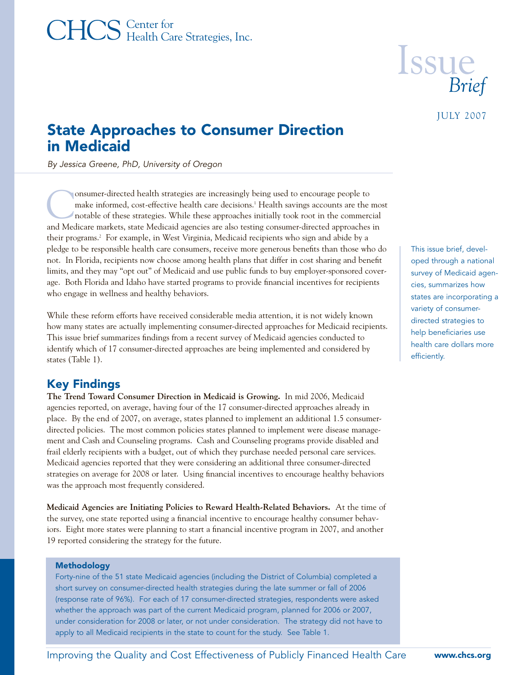# CHCS Center for<br>CHCS Health Care Strategies, Inc.



### JULY 2007

# State Approaches to Consumer Direction in Medicaid

By Jessica Greene, PhD, University of Oregon

Consumer-directed health strategies are increasingly being used to encourage people to make informed, cost-effective health care decisions.<sup>1</sup> Health savings accounts are the notable of these strategies. While these approa make informed, cost-effective health care decisions.<sup>1</sup> Health savings accounts are the most notable of these strategies. While these approaches initially took root in the commercial and Medicare markets, state Medicaid agencies are also testing consumer-directed approaches in their programs.<sup>2</sup> For example, in West Virginia, Medicaid recipients who sign and abide by a pledge to be responsible health care consumers, receive more generous benefits than those who do not. In Florida, recipients now choose among health plans that differ in cost sharing and benefit limits, and they may "opt out" of Medicaid and use public funds to buy employer-sponsored coverage. Both Florida and Idaho have started programs to provide financial incentives for recipients who engage in wellness and healthy behaviors.

While these reform efforts have received considerable media attention, it is not widely known how many states are actually implementing consumer-directed approaches for Medicaid recipients. This issue brief summarizes findings from a recent survey of Medicaid agencies conducted to identify which of 17 consumer-directed approaches are being implemented and considered by states (Table 1).

### Key Findings

**The Trend Toward Consumer Direction in Medicaid is Growing.** In mid 2006, Medicaid agencies reported, on average, having four of the 17 consumer-directed approaches already in place. By the end of 2007, on average, states planned to implement an additional 1.5 consumerdirected policies. The most common policies states planned to implement were disease management and Cash and Counseling programs. Cash and Counseling programs provide disabled and frail elderly recipients with a budget, out of which they purchase needed personal care services. Medicaid agencies reported that they were considering an additional three consumer-directed strategies on average for 2008 or later. Using financial incentives to encourage healthy behaviors was the approach most frequently considered.

**Medicaid Agencies are Initiating Policies to Reward Health-Related Behaviors.** At the time of the survey, one state reported using a financial incentive to encourage healthy consumer behaviors. Eight more states were planning to start a financial incentive program in 2007, and another 19 reported considering the strategy for the future.

#### **Methodology**

Forty-nine of the 51 state Medicaid agencies (including the District of Columbia) completed a short survey on consumer-directed health strategies during the late summer or fall of 2006 (response rate of 96%). For each of 17 consumer-directed strategies, respondents were asked whether the approach was part of the current Medicaid program, planned for 2006 or 2007, under consideration for 2008 or later, or not under consideration. The strategy did not have to apply to all Medicaid recipients in the state to count for the study. See Table 1.

This issue brief, developed through a national survey of Medicaid agencies, summarizes how states are incorporating a variety of consumerdirected strategies to help beneficiaries use health care dollars more efficiently.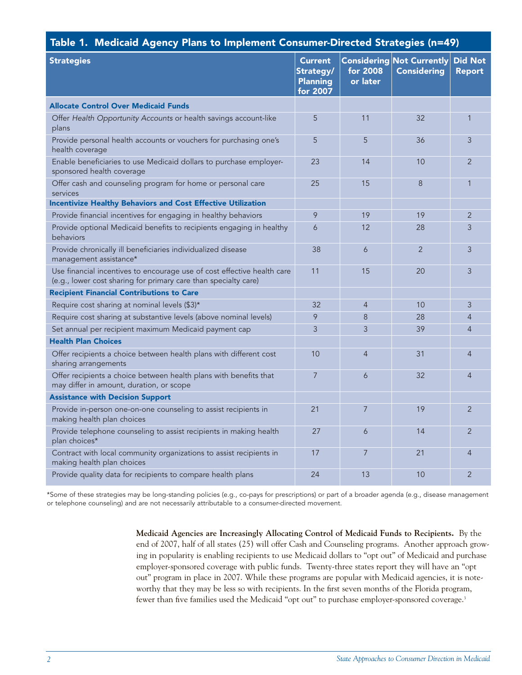| Table 1.  Medicaid Agency Plans to Implement Consumer-Directed Strategies (n=49)                                                           |                                                            |                      |                                                        |                                 |  |
|--------------------------------------------------------------------------------------------------------------------------------------------|------------------------------------------------------------|----------------------|--------------------------------------------------------|---------------------------------|--|
| <b>Strategies</b>                                                                                                                          | <b>Current</b><br>Strategy/<br><b>Planning</b><br>for 2007 | for 2008<br>or later | <b>Considering Not Currently</b><br><b>Considering</b> | <b>Did Not</b><br><b>Report</b> |  |
| Allocate Control Over Medicaid Funds                                                                                                       |                                                            |                      |                                                        |                                 |  |
| Offer Health Opportunity Accounts or health savings account-like<br>plans                                                                  | 5                                                          | 11                   | 32                                                     | $\mathbf{1}$                    |  |
| Provide personal health accounts or vouchers for purchasing one's<br>health coverage                                                       | 5                                                          | 5                    | 36                                                     | 3                               |  |
| Enable beneficiaries to use Medicaid dollars to purchase employer-<br>sponsored health coverage                                            | 23                                                         | 14                   | 10                                                     | $\overline{2}$                  |  |
| Offer cash and counseling program for home or personal care<br>services                                                                    | 25                                                         | 15                   | 8                                                      | $\mathbf{1}$                    |  |
| <b>Incentivize Healthy Behaviors and Cost Effective Utilization</b>                                                                        |                                                            |                      |                                                        |                                 |  |
| Provide financial incentives for engaging in healthy behaviors                                                                             | 9                                                          | 19                   | 19                                                     | $\overline{2}$                  |  |
| Provide optional Medicaid benefits to recipients engaging in healthy<br>behaviors                                                          | 6                                                          | 12                   | 28                                                     | $\overline{3}$                  |  |
| Provide chronically ill beneficiaries individualized disease<br>management assistance*                                                     | 38                                                         | 6                    | 2                                                      | 3                               |  |
| Use financial incentives to encourage use of cost effective health care<br>(e.g., lower cost sharing for primary care than specialty care) | 11                                                         | 15                   | 20                                                     | 3                               |  |
| <b>Recipient Financial Contributions to Care</b>                                                                                           |                                                            |                      |                                                        |                                 |  |
| Require cost sharing at nominal levels (\$3)*                                                                                              | 32                                                         | $\overline{4}$       | 10                                                     | 3                               |  |
| Require cost sharing at substantive levels (above nominal levels)                                                                          | 9                                                          | 8                    | 28                                                     | $\overline{4}$                  |  |
| Set annual per recipient maximum Medicaid payment cap                                                                                      | 3                                                          | 3                    | 39                                                     | $\overline{4}$                  |  |
| <b>Health Plan Choices</b>                                                                                                                 |                                                            |                      |                                                        |                                 |  |
| Offer recipients a choice between health plans with different cost<br>sharing arrangements                                                 | 10                                                         | $\overline{4}$       | 31                                                     | $\overline{4}$                  |  |
| Offer recipients a choice between health plans with benefits that<br>may differ in amount, duration, or scope                              | $\overline{7}$                                             | 6                    | 32                                                     | $\overline{4}$                  |  |
| <b>Assistance with Decision Support</b>                                                                                                    |                                                            |                      |                                                        |                                 |  |
| Provide in-person one-on-one counseling to assist recipients in<br>making health plan choices                                              | 21                                                         | $\overline{7}$       | 19                                                     | $\overline{2}$                  |  |
| Provide telephone counseling to assist recipients in making health<br>plan choices*                                                        | 27                                                         | 6                    | 14                                                     | $\overline{2}$                  |  |
| Contract with local community organizations to assist recipients in<br>making health plan choices                                          | 17                                                         | $\overline{7}$       | 21                                                     | $\overline{4}$                  |  |
| Provide quality data for recipients to compare health plans                                                                                | 24                                                         | 13                   | 10                                                     | $\overline{2}$                  |  |

\*Some of these strategies may be long-standing policies (e.g., co-pays for prescriptions) or part of a broader agenda (e.g., disease management or telephone counseling) and are not necessarily attributable to a consumer-directed movement.

> **Medicaid Agencies are Increasingly Allocating Control of Medicaid Funds to Recipients.** By the end of 2007, half of all states (25) will offer Cash and Counseling programs. Another approach growing in popularity is enabling recipients to use Medicaid dollars to "opt out" of Medicaid and purchase employer-sponsored coverage with public funds. Twenty-three states report they will have an "opt out" program in place in 2007. While these programs are popular with Medicaid agencies, it is noteworthy that they may be less so with recipients. In the first seven months of the Florida program, fewer than five families used the Medicaid "opt out" to purchase employer-sponsored coverage.<sup>3</sup>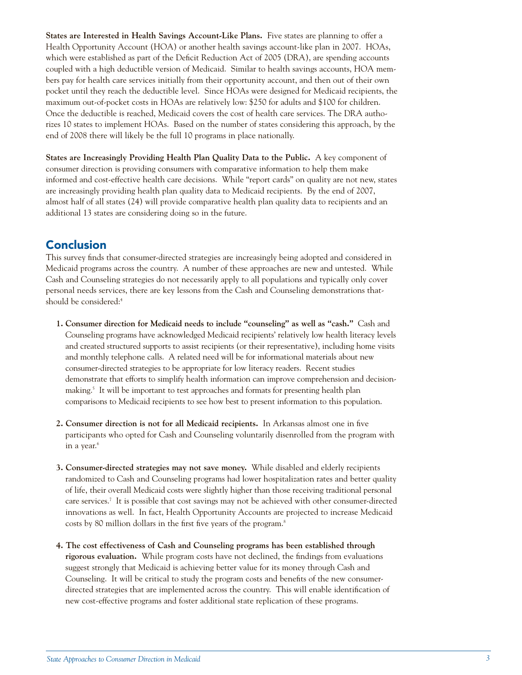**States are Interested in Health Savings Account-Like Plans.** Five states are planning to offer a Health Opportunity Account (HOA) or another health savings account-like plan in 2007. HOAs, which were established as part of the Deficit Reduction Act of 2005 (DRA), are spending accounts coupled with a high deductible version of Medicaid. Similar to health savings accounts, HOA members pay for health care services initially from their opportunity account, and then out of their own pocket until they reach the deductible level. Since HOAs were designed for Medicaid recipients, the maximum out-of-pocket costs in HOAs are relatively low: \$250 for adults and \$100 for children. Once the deductible is reached, Medicaid covers the cost of health care services. The DRA authorizes 10 states to implement HOAs. Based on the number of states considering this approach, by the end of 2008 there will likely be the full 10 programs in place nationally.

**States are Increasingly Providing Health Plan Quality Data to the Public.** A key component of consumer direction is providing consumers with comparative information to help them make informed and cost-effective health care decisions. While "report cards" on quality are not new, states are increasingly providing health plan quality data to Medicaid recipients. By the end of 2007, almost half of all states (24) will provide comparative health plan quality data to recipients and an additional 13 states are considering doing so in the future.

# Conclusion

This survey finds that consumer-directed strategies are increasingly being adopted and considered in Medicaid programs across the country. A number of these approaches are new and untested. While Cash and Counseling strategies do not necessarily apply to all populations and typically only cover personal needs services, there are key lessons from the Cash and Counseling demonstrations thatshould be considered:<sup>4</sup>

- **1. Consumer direction for Medicaid needs to include "counseling" as well as "cash."** Cash and Counseling programs have acknowledged Medicaid recipients' relatively low health literacy levels and created structured supports to assist recipients (or their representative), including home visits and monthly telephone calls. A related need will be for informational materials about new consumer-directed strategies to be appropriate for low literacy readers. Recent studies demonstrate that efforts to simplify health information can improve comprehension and decisionmaking.5 It will be important to test approaches and formats for presenting health plan comparisons to Medicaid recipients to see how best to present information to this population.
- **2. Consumer direction is not for all Medicaid recipients.** In Arkansas almost one in five participants who opted for Cash and Counseling voluntarily disenrolled from the program with in a year.<sup>6</sup>
- **3. Consumer-directed strategies may not save money.** While disabled and elderly recipients randomized to Cash and Counseling programs had lower hospitalization rates and better quality of life, their overall Medicaid costs were slightly higher than those receiving traditional personal care services.<sup>7</sup> It is possible that cost savings may not be achieved with other consumer-directed innovations as well. In fact, Health Opportunity Accounts are projected to increase Medicaid costs by 80 million dollars in the first five years of the program.<sup>8</sup>
- **4. The cost effectiveness of Cash and Counseling programs has been established through rigorous evaluation.** While program costs have not declined, the findings from evaluations suggest strongly that Medicaid is achieving better value for its money through Cash and Counseling. It will be critical to study the program costs and benefits of the new consumerdirected strategies that are implemented across the country. This will enable identification of new cost-effective programs and foster additional state replication of these programs.